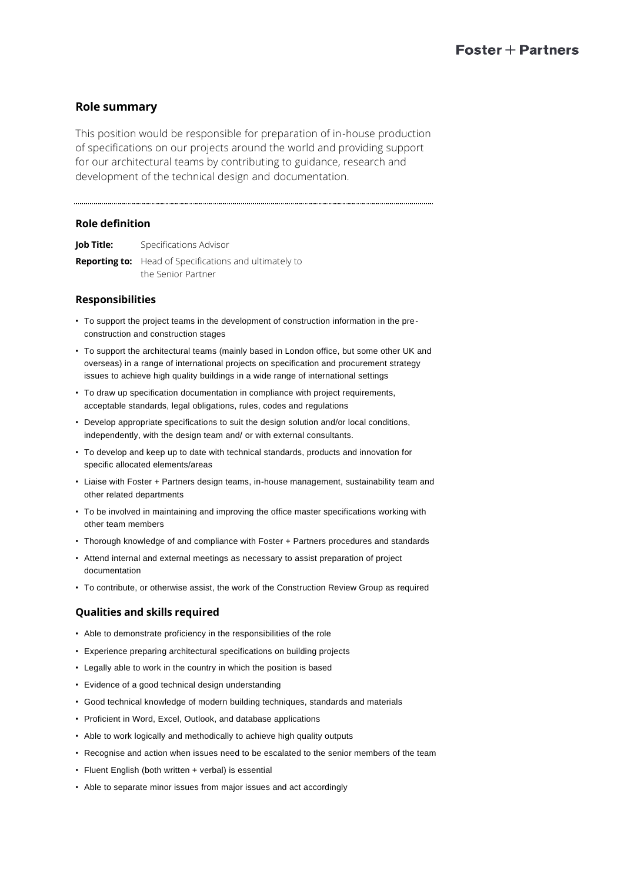# **Role summary**

This position would be responsible for preparation of in-house production of specifications on our projects around the world and providing support for our architectural teams by contributing to guidance, research and development of the technical design and documentation.

## **Role definition**

**Job Title:** Specifications Advisor

**Reporting to:** Head of Specifications and ultimately to the Senior Partner

## **Responsibilities**

- To support the project teams in the development of construction information in the preconstruction and construction stages
- To support the architectural teams (mainly based in London office, but some other UK and overseas) in a range of international projects on specification and procurement strategy issues to achieve high quality buildings in a wide range of international settings
- To draw up specification documentation in compliance with project requirements, acceptable standards, legal obligations, rules, codes and regulations
- Develop appropriate specifications to suit the design solution and/or local conditions, independently, with the design team and/ or with external consultants.
- To develop and keep up to date with technical standards, products and innovation for specific allocated elements/areas
- Liaise with Foster + Partners design teams, in-house management, sustainability team and other related departments
- To be involved in maintaining and improving the office master specifications working with other team members
- Thorough knowledge of and compliance with Foster + Partners procedures and standards
- Attend internal and external meetings as necessary to assist preparation of project documentation
- To contribute, or otherwise assist, the work of the Construction Review Group as required

## **Qualities and skills required**

- Able to demonstrate proficiency in the responsibilities of the role
- Experience preparing architectural specifications on building projects
- Legally able to work in the country in which the position is based
- Evidence of a good technical design understanding
- Good technical knowledge of modern building techniques, standards and materials
- Proficient in Word, Excel, Outlook, and database applications
- Able to work logically and methodically to achieve high quality outputs
- Recognise and action when issues need to be escalated to the senior members of the team
- Fluent English (both written + verbal) is essential
- Able to separate minor issues from major issues and act accordingly